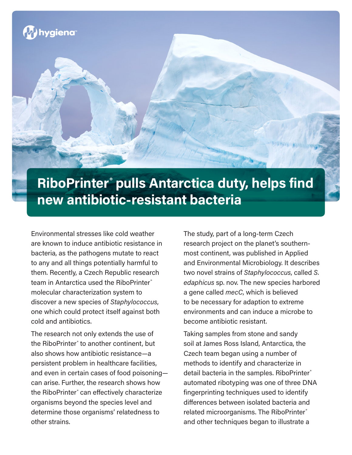

## **RiboPrinter® pulls Antarctica duty, helps find new antibiotic-resistant bacteria**

Environmental stresses like cold weather are known to induce antibiotic resistance in bacteria, as the pathogens mutate to react to any and all things potentially harmful to them. Recently, a Czech Republic research team in Antarctica used the RiboPrinter® molecular characterization system to discover a new species of *Staphylococcus*, one which could protect itself against both cold and antibiotics.

The research not only extends the use of the RiboPrinter® to another continent, but also shows how antibiotic resistance—a persistent problem in healthcare facilities, and even in certain cases of food poisoning can arise. Further, the research shows how the RiboPrinter® can effectively characterize organisms beyond the species level and determine those organisms' relatedness to other strains.

The study, part of a long-term Czech research project on the planet's southernmost continent, was published in Applied and Environmental Microbiology. It describes two novel strains of *Staphylococcus*, called *S. edaphicus* sp. nov. The new species harbored a gene called *mecC*, which is believed to be necessary for adaption to extreme environments and can induce a microbe to become antibiotic resistant.

Taking samples from stone and sandy soil at James Ross Island, Antarctica, the Czech team began using a number of methods to identify and characterize in detail bacteria in the samples. RiboPrinter® automated ribotyping was one of three DNA fingerprinting techniques used to identify differences between isolated bacteria and related microorganisms. The RiboPrinter® and other techniques began to illustrate a